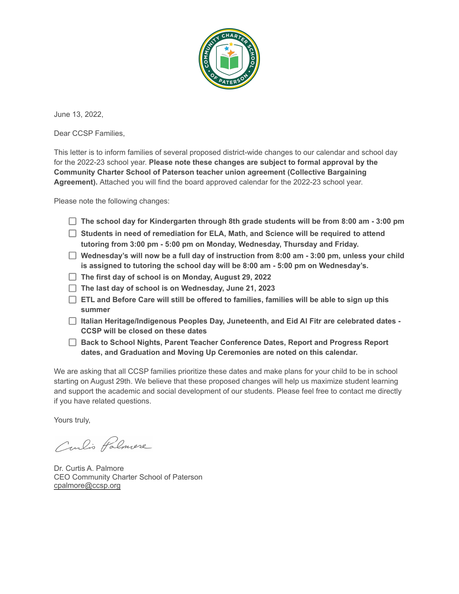

June 13, 2022,

Dear CCSP Families,

This letter is to inform families of several proposed district-wide changes to our calendar and school day for the 2022-23 school year. **Please note these changes are subject to formal approval by the Community Charter School of Paterson teacher union agreement (Collective Bargaining Agreement).** Attached you will find the board approved calendar for the 2022-23 school year.

Please note the following changes:

- **The school day for Kindergarten through 8th grade students will be from 8:00 am - 3:00 pm**
- **Students in need of remediation for ELA, Math, and Science will be required to attend tutoring from 3:00 pm - 5:00 pm on Monday, Wednesday, Thursday and Friday.**
- **Wednesday's will now be a full day of instruction from 8:00 am - 3:00 pm, unless your child is assigned to tutoring the school day will be 8:00 am - 5:00 pm on Wednesday's.**
- **The first day of school is on Monday, August 29, 2022**
- **The last day of school is on Wednesday, June 21, 2023**
- **ETL and Before Care will still be offered to families, families will be able to sign up this summer**
- **Italian Heritage/Indigenous Peoples Day, Juneteenth, and Eid Al Fitr are celebrated dates - CCSP will be closed on these dates**
- **Back to School Nights, Parent Teacher Conference Dates, Report and Progress Report dates, and Graduation and Moving Up Ceremonies are noted on this calendar.**

We are asking that all CCSP families prioritize these dates and make plans for your child to be in school starting on August 29th. We believe that these proposed changes will help us maximize student learning and support the academic and social development of our students. Please feel free to contact me directly if you have related questions.

Yours truly,

Curlis Palmere

Dr. Curtis A. Palmore CEO Community Charter School of Paterson [cpalmore@ccsp.org](mailto:cpalmore@ccsp.org)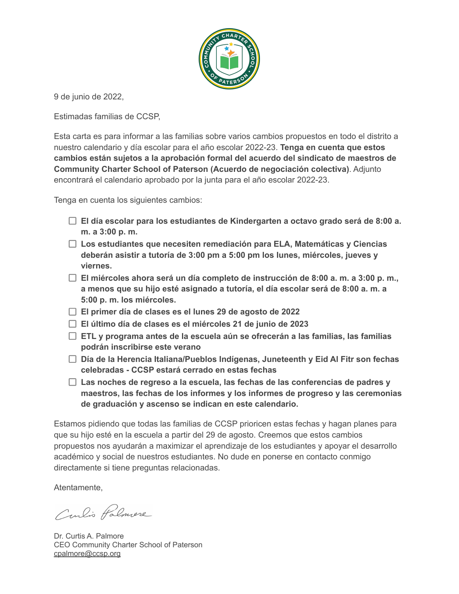

9 de junio de 2022,

Estimadas familias de CCSP,

Esta carta es para informar a las familias sobre varios cambios propuestos en todo el distrito a nuestro calendario y día escolar para el año escolar 2022-23. **Tenga en cuenta que estos cambios están sujetos a la aprobación formal del acuerdo del sindicato de maestros de Community Charter School of Paterson (Acuerdo de negociación colectiva)**. Adjunto encontrará el calendario aprobado por la junta para el año escolar 2022-23.

Tenga en cuenta los siguientes cambios:

- **El día escolar para los estudiantes de Kindergarten a octavo grado será de 8:00 a. m. a 3:00 p. m.**
- **Los estudiantes que necesiten remediación para ELA, Matemáticas y Ciencias deberán asistir a tutoría de 3:00 pm a 5:00 pm los lunes, miércoles, jueves y viernes.**
- **El miércoles ahora será un día completo de instrucción de 8:00 a. m. a 3:00 p. m., a menos que su hijo esté asignado a tutoría, el día escolar será de 8:00 a. m. a 5:00 p. m. los miércoles.**
- **El primer día de clases es el lunes 29 de agosto de 2022**
- **El último día de clases es el miércoles 21 de junio de 2023**
- **ETL y programa antes de la escuela aún se ofrecerán a las familias, las familias podrán inscribirse este verano**
- **Día de la Herencia Italiana/Pueblos Indígenas, Juneteenth y Eid Al Fitr son fechas celebradas - CCSP estará cerrado en estas fechas**
- **Las noches de regreso a la escuela, las fechas de las conferencias de padres y maestros, las fechas de los informes y los informes de progreso y las ceremonias de graduación y ascenso se indican en este calendario.**

Estamos pidiendo que todas las familias de CCSP prioricen estas fechas y hagan planes para que su hijo esté en la escuela a partir del 29 de agosto. Creemos que estos cambios propuestos nos ayudarán a maximizar el aprendizaje de los estudiantes y apoyar el desarrollo académico y social de nuestros estudiantes. No dude en ponerse en contacto conmigo directamente si tiene preguntas relacionadas.

Atentamente,

Curlis Palmere

Dr. Curtis A. Palmore CEO Community Charter School of Paterson [cpalmore@ccsp.org](mailto:cpalmore@ccsp.org)